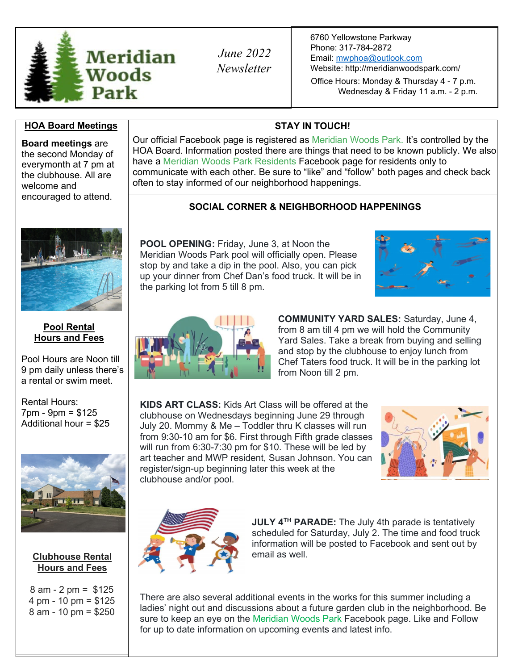

*June 2022 Newsletter* 6760 Yellowstone Parkway Phone: 317-784-2872 Email: [mwphoa@outlook.com](mailto:mwphoa@outlook.com) Website: <http://meridianwoodspark.com/>

Office Hours: Monday & Thursday 4 - 7 p.m. Wednesday & Friday 11 a.m. - 2 p.m.

## **HOA Board Meetings Now STAY IN TOUCH!**

**Board meetings** are the second Monday of everymonth at 7 pm at the clubhouse. All are welcome and encouraged to attend.



### **Pool Rental Hours and Fees**

Pool Hours are Noon till 9 pm daily unless there's a rental or swim meet.

Rental Hours: 7pm - 9pm = \$125 Additional hour = \$25



### **Clubhouse Rental Hours and Fees**

8 am - 2 pm = \$125 4 pm - 10 pm = \$125 8 am - 10 pm = \$250

Our official Facebook page is registered as Meridian Woods Park. It's controlled by the HOA Board. Information posted there are things that need to be known publicly. We also have a Meridian Woods Park Residents Facebook page for residents only to communicate with each other. Be sure to "like" and "follow" both pages and check back often to stay informed of our neighborhood happenings.

# **SOCIAL CORNER & NEIGHBORHOOD HAPPENINGS**

**POOL OPENING:** Friday, June 3, at Noon the Meridian Woods Park pool will officially open. Please stop by and take a dip in the pool. Also, you can pick up your dinner from Chef Dan's food truck. It will be in the parking lot from 5 till 8 pm.





**COMMUNITY YARD SALES:** Saturday, June 4, from 8 am till 4 pm we will hold the Community Yard Sales. Take a break from buying and selling and stop by the clubhouse to enjoy lunch from Chef Taters food truck. It will be in the parking lot from Noon till 2 pm.

**KIDS ART CLASS:** Kids Art Class will be offered at the clubhouse on Wednesdays beginning June 29 through July 20. Mommy & Me – Toddler thru K classes will run from 9:30-10 am for \$6. First through Fifth grade classes will run from 6:30-7:30 pm for \$10. These will be led by art teacher and MWP resident, Susan Johnson. You can register/sign-up beginning later this week at the clubhouse and/or pool.





**JULY 4TH PARADE:** The July 4th parade is tentatively scheduled for Saturday, July 2. The time and food truck information will be posted to Facebook and sent out by email as well.

There are also several additional events in the works for this summer including a ladies' night out and discussions about a future garden club in the neighborhood. Be sure to keep an eye on the Meridian Woods Park Facebook page. Like and Follow for up to date information on upcoming events and latest info.